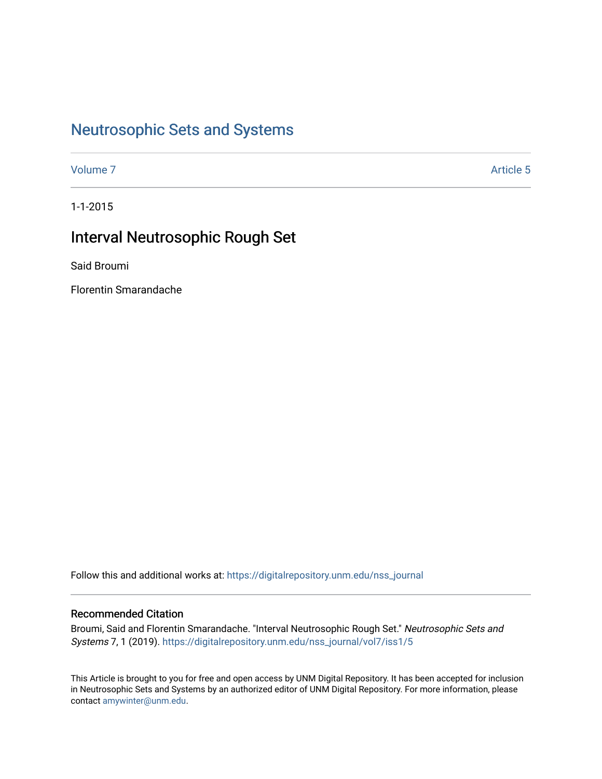# [Neutrosophic Sets and Systems](https://digitalrepository.unm.edu/nss_journal)

[Volume 7](https://digitalrepository.unm.edu/nss_journal/vol7) Article 5

1-1-2015

# Interval Neutrosophic Rough Set

Said Broumi

Florentin Smarandache

Follow this and additional works at: [https://digitalrepository.unm.edu/nss\\_journal](https://digitalrepository.unm.edu/nss_journal?utm_source=digitalrepository.unm.edu%2Fnss_journal%2Fvol7%2Fiss1%2F5&utm_medium=PDF&utm_campaign=PDFCoverPages) 

# Recommended Citation

Broumi, Said and Florentin Smarandache. "Interval Neutrosophic Rough Set." Neutrosophic Sets and Systems 7, 1 (2019). [https://digitalrepository.unm.edu/nss\\_journal/vol7/iss1/5](https://digitalrepository.unm.edu/nss_journal/vol7/iss1/5?utm_source=digitalrepository.unm.edu%2Fnss_journal%2Fvol7%2Fiss1%2F5&utm_medium=PDF&utm_campaign=PDFCoverPages)

This Article is brought to you for free and open access by UNM Digital Repository. It has been accepted for inclusion in Neutrosophic Sets and Systems by an authorized editor of UNM Digital Repository. For more information, please contact [amywinter@unm.edu](mailto:amywinter@unm.edu).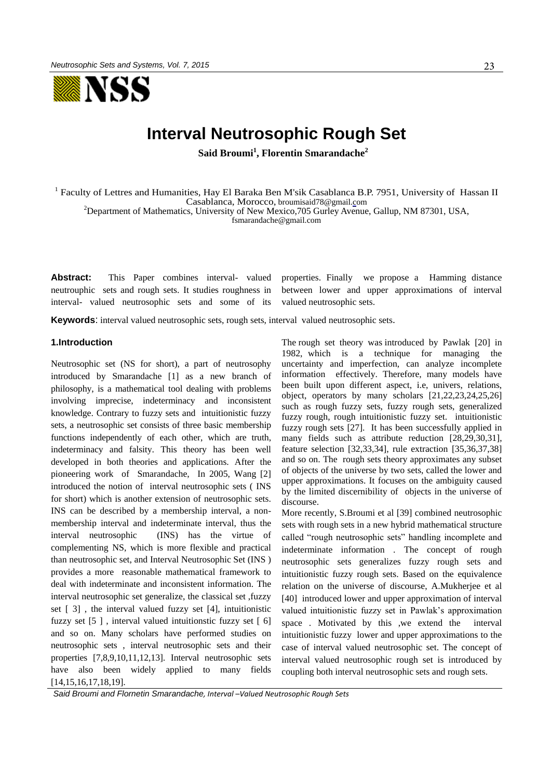

# **Interval Neutrosophic Rough Set**

**Said Broumi<sup>1</sup> , Florentin Smarandache<sup>2</sup>**

<sup>1</sup> Faculty of Lettres and Humanities, Hay El Baraka Ben M'sik Casablanca B.P. 7951, University of Hassan II Casablanca, Morocco, [broumisaid78@gmail.co](mailto:broumisaid78@gmail.c)m

<sup>2</sup>Department of Mathematics, University of New Mexico, 705 Gurley Avenue, Gallup, NM 87301, USA,

[fsmarandache@gmail.com](mailto:fsmarandache@gmail.com)

Abstract: This Paper combines interval- valued neutrouphic sets and rough sets. It studies roughness in interval- valued neutrosophic sets and some of its properties. Finally we propose a Hamming distance between lower and upper approximations of interval valued neutrosophic sets.

**Keywords**: interval valued neutrosophic sets, rough sets, interval valued neutrosophic sets.

## **1.Introduction**

Neutrosophic set (NS for short), a part of neutrosophy introduced by Smarandache [1] as a new branch of philosophy, is a mathematical tool dealing with problems involving imprecise, indeterminacy and inconsistent knowledge. Contrary to fuzzy sets and intuitionistic fuzzy sets, a neutrosophic set consists of three basic membership functions independently of each other, which are truth, indeterminacy and falsity. This theory has been well developed in both theories and applications. After the pioneering work of Smarandache, In 2005, Wang [2] introduced the notion of interval neutrosophic sets ( INS for short) which is another extension of neutrosophic sets. INS can be described by a membership interval, a nonmembership interval and indeterminate interval, thus the interval neutrosophic (INS) has the virtue of complementing NS, which is more flexible and practical than neutrosophic set, and Interval Neutrosophic Set (INS ) provides a more reasonable mathematical framework to deal with indeterminate and inconsistent information. The interval neutrosophic set generalize, the classical set ,fuzzy set [ 3] , the interval valued fuzzy set [4], intuitionistic fuzzy set [5 ] , interval valued intuitionstic fuzzy set [ 6] and so on. Many scholars have performed studies on neutrosophic sets , interval neutrosophic sets and their properties [7,8,9,10,11,12,13]. Interval neutrosophic sets have also been widely applied to many fields [14,15,16,17,18,19].

The rough set theory was introduced by Pawlak [20] in 1982, which is a technique for managing the uncertainty and imperfection, can analyze incomplete information effectively. Therefore, many models have been built upon different aspect, i.e, univers, relations, object, operators by many scholars [21,22,23,24,25,26] such as rough fuzzy sets, fuzzy rough sets, generalized fuzzy rough, rough intuitionistic fuzzy set. intuitionistic fuzzy rough sets [27]. It has been successfully applied in many fields such as attribute reduction [28,29,30,31], feature selection [32,33,34], rule extraction [35,36,37,38] and so on. The rough sets theory approximates any subset of objects of the universe by two sets, called the lower and upper approximations. It focuses on the ambiguity caused by the limited discernibility of objects in the universe of discourse.

More recently, S.Broumi et al [39] combined neutrosophic sets with rough sets in a new hybrid mathematical structure called "rough neutrosophic sets" handling incomplete and indeterminate information . The concept of rough neutrosophic sets generalizes fuzzy rough sets and intuitionistic fuzzy rough sets. Based on the equivalence relation on the universe of discourse, A.Mukherjee et al [40] introduced lower and upper approximation of interval valued intuitionistic fuzzy set in Pawlak's approximation space . Motivated by this ,we extend the interval intuitionistic fuzzy lower and upper approximations to the case of interval valued neutrosophic set. The concept of interval valued neutrosophic rough set is introduced by coupling both interval neutrosophic sets and rough sets.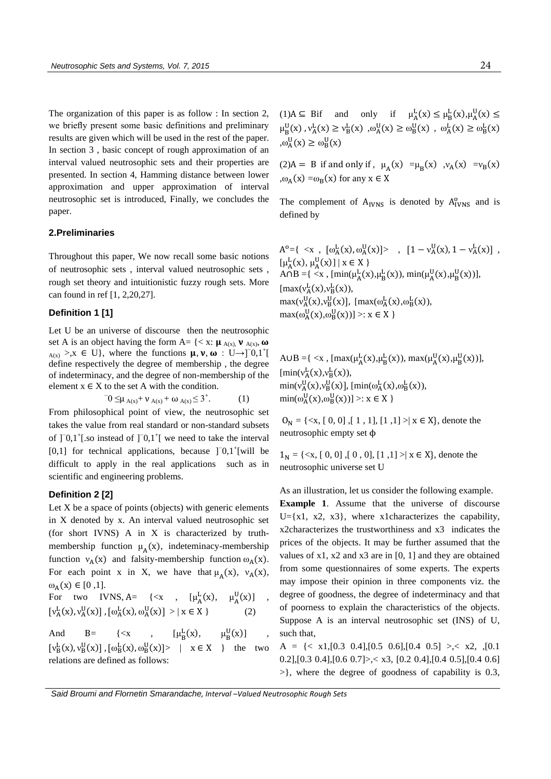The organization of this paper is as follow : In section 2, we briefly present some basic definitions and preliminary results are given which will be used in the rest of the paper. In section 3 , basic concept of rough approximation of an interval valued neutrosophic sets and their properties are presented. In section 4, Hamming distance between lower approximation and upper approximation of interval neutrosophic set is introduced, Finally, we concludes the paper.

## **2.Preliminaries**

Throughout this paper, We now recall some basic notions of neutrosophic sets , interval valued neutrosophic sets , rough set theory and intuitionistic fuzzy rough sets. More can found in ref [1, 2,20,27].

#### **Definition 1 [1]**

Let U be an universe of discourse then the neutrosophic set A is an object having the form A=  $\{ \langle x : \mu_{A(x)}, \nu_{A(x)}, \omega \rangle \}$  $A(x)$  >,x ∈ U}, where the functions  $\mu$ ,  $\nu$ ,  $\omega$  : U→]<sup>-</sup>0,1<sup>+</sup>[ define respectively the degree of membership , the degree of indeterminacy, and the degree of non-membership of the element  $x \in X$  to the set A with the condition.

$$
0 \leq \mu_{A(x)} + \nu_{A(x)} + \omega_{A(x)} \leq 3^+.
$$
 (1)

From philosophical point of view, the neutrosophic set takes the value from real standard or non-standard subsets of ]<sup>-</sup>0,1<sup>+</sup>[.so instead of ]<sup>-</sup>0,1<sup>+</sup>[ we need to take the interval [0,1] for technical applications, because ]<sup>-</sup>0,1<sup>+</sup>[will be difficult to apply in the real applications such as in scientific and engineering problems.

### **Definition 2 [2]**

Let  $X$  be a space of points (objects) with generic elements in X denoted by x. An interval valued neutrosophic set (for short IVNS) A in X is characterized by truthmembership function  $\mu_A(x)$ , indeteminacy-membership function  $v_A(x)$  and falsity-membership function  $\omega_A(x)$ . For each point x in X, we have that  $\mu_A(x)$ ,  $v_A(x)$ ,  $\omega_{A}(x) \in [0,1].$ 

For two IVNS, A= {
$$
\langle x, \mu_A^L(x), \mu_A^U(x) \rangle
$$
,  
\n $[v_A^L(x), v_A^U(x)]$ ,  $[\omega_A^L(x), \omega_A^U(x)] > | x \in X$  } (2)

And B= { $\langle x , \rho_{B}^{L}(x), \rho_{B}^{U}(x) \rangle$ ,  $[v_B^L(x), v_B^U(x)]$ ,  $[\omega_B^L(x), \omega_B^U(x)]$  |  $x \in X$  } the two relations are defined as follows:

(1)A  $\subseteq$  Bif and only if  $\mu_A^L(x) \le \mu_B^L(x), \mu_A^U(x) \le$  $\mu_B^U(x)$ ,  $\nu_A^L(x) \ge \nu_B^L(x)$ ,  $\omega_A^U(x) \ge \omega_B^U(x)$ ,  $\omega_A^L(x) \ge \omega_B^L(x)$  $, \omega_A^U(x) \ge \omega_B^U(x)$ 

(2)A = B if and only if,  $\mu_A(x) = \mu_B(x)$ ,  $v_A(x) = v_B(x)$ , $\omega_{A}(x) = \omega_{B}(x)$  for any  $x \in X$ 

The complement of  $A<sub>IVNS</sub>$  is denoted by  $A<sub>IVNS</sub><sup>o</sup>$  and is defined by

 $A^{o} = \{ \langle x , [ \omega_{A}^{L}(x), \omega_{A}^{U}(x) ] \rangle , [1 - v_{A}^{U}(x), 1 - v_{A}^{L}(x) ] ,$  $[\mu_{A}^{L}(x), \mu_{A}^{U}(x)] | x \in X$  $\widehat{A \cap B} = \{ \langle x, [min(\mu_A^L(x), \mu_B^L(x)), min(\mu_A^U(x), \mu_B^U(x))],$  $[\max(v_A^L(x), v_B^L(x))$ max( $v_A^U(x), v_B^U(x)$ ], [max( $\omega_A^L(x), \omega_B^L(x)$ ),  $max(\omega_A^U(x), \omega_B^U(x))] >: x \in X$ 

A∪B ={ <x, [max( $\mu_A^L(x), \mu_B^L(x)$ ), max( $\mu_A^U(x), \mu_B^U(x)$ )],  $[\min(v_A^L(x), v_B^L(x))$  $\min(v_A^U(x), v_B^U(x)]$ ,  $[\min(\omega_A^L(x), \omega_B^L(x))$ ,  $\min(\omega_A^U(x), \omega_B^U(x))] >: x \in X$ 

 $O_N = \{ \langle x, [0, 0], [1, 1], [1, 1] \rangle \mid x \in X \}$ , denote the neutrosophic empty set ϕ

 $1_N = \{ \langle x, [0, 0], [0, 0], [1, 1] \rangle \mid x \in X \}$ , denote the neutrosophic universe set U

As an illustration, let us consider the following example.

**Example 1**. Assume that the universe of discourse  $U = \{x1, x2, x3\}$ , where x1characterizes the capability, x2characterizes the trustworthiness and x3 indicates the prices of the objects. It may be further assumed that the values of x1, x2 and x3 are in [0, 1] and they are obtained from some questionnaires of some experts. The experts may impose their opinion in three components viz. the degree of goodness, the degree of indeterminacy and that of poorness to explain the characteristics of the objects. Suppose A is an interval neutrosophic set (INS) of U, such that,

 $A = \{ \langle x1, [0.3 \ 0.4], [0.5 \ 0.6], [0.4 \ 0.5] \rangle, \langle x2, \rangle, [0.1 \ 0.6], [0.6 \ 0.6], [0.7 \ 0.6], [0.8 \ 0.6], [0.9 \ 0.6], [0.9 \ 0.7] \}$ 0.2], [0.3 0.4], [0.6 0.7] >  $\leq$  x3, [0.2 0.4], [0.4 0.5], [0.4 0.6] >}, where the degree of goodness of capability is 0.3,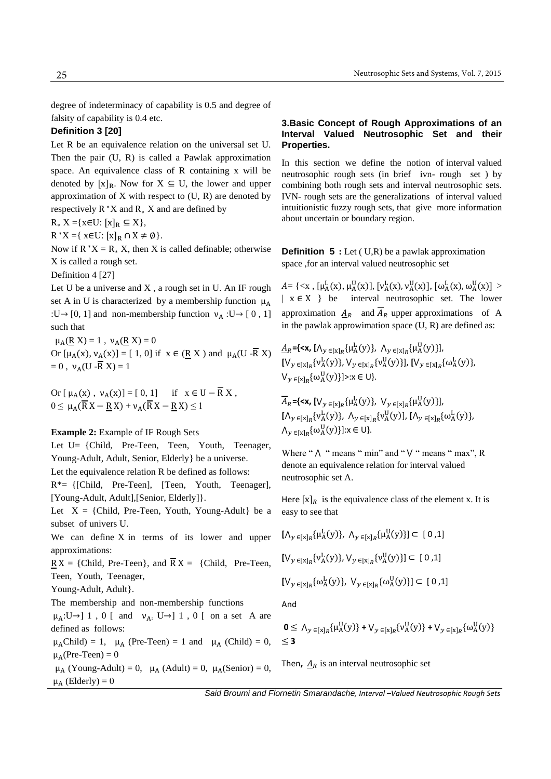degree of indeterminacy of capability is 0.5 and degree of falsity of capability is 0.4 etc.

### **Definition 3 [20]**

Let R be an equivalence relation on the universal set U. Then the pair (U, R) is called a Pawlak approximation space. An equivalence class of R containing x will be denoted by  $[x]_R$ . Now for  $X \subseteq U$ , the lower and upper approximation of  $X$  with respect to  $(U, R)$  are denoted by respectively  $R^*X$  and  $R_*X$  and are defined by

 $R_* X = \{x \in U: [x]_R \subseteq X\},\$ 

 $R^*X = \{ x \in U: [x]_R \cap X \neq \emptyset \}.$ 

Now if  $R^*X = R_* X$ , then X is called definable; otherwise X is called a rough set.

Definition 4 [27]

Let U be a universe and X , a rough set in U. An IF rough set A in U is characterized by a membership function  $\mu_A$ :U→ [0, 1] and non-membership function  $v_A$  :U→ [0, 1] such that

 $\mu_A$ (R X) = 1,  $\nu_A$ (R X) = 0 Or  $[\mu_A(x), \nu_A(x)] = [1, 0]$  if  $x \in (\underline{R} X)$  and  $\mu_A(U - \overline{R} X)$  $= 0$ ,  $v_A(U - \overline{R} X) = 1$ 

Or  $[\mu_A(x), \nu_A(x)] = [0, 1]$  if  $x \in U - \overline{R} X$ ,  $0 \leq \mu_A(\overline{R}X - RX) + \nu_A(\overline{R}X - RX) \leq 1$ 

#### **Example 2:** Example of IF Rough Sets

Let U= {Child, Pre-Teen, Teen, Youth, Teenager, Young-Adult, Adult, Senior, Elderly} be a universe. Let the equivalence relation R be defined as follows: R\*= {[Child, Pre-Teen], [Teen, Youth, Teenager], [Young-Adult, Adult],[Senior, Elderly]}. Let  $X = \{Child, Pre-Teen, Youth, Young-Adult\}$  be a subset of univers U. We can define X in terms of its lower and upper approximations:  $RX = \{Child, Pre-Teen\}, \text{ and } \overline{R}X = \{Child, Pre-Teen,$ Teen, Youth, Teenager, Young-Adult, Adult}. The membership and non-membership functions  $\mu_A: U \rightarrow ] 1$ , 0 [ and  $\nu_A: U \rightarrow ] 1$ , 0 [ on a set A are defined as follows:  $\mu_A$ Child) = 1,  $\mu_A$  (Pre-Teen) = 1 and  $\mu_A$  (Child) = 0,  $\mu_A$ (Pre-Teen) = 0  $\mu_A$  (Young-Adult) = 0,  $\mu_A$  (Adult) = 0,  $\mu_A$ (Senior) = 0,  $\mu_A$  (Elderly) = 0

## **3.Basic Concept of Rough Approximations of an Interval Valued Neutrosophic Set and their Properties.**

In this section we define the notion of interval valued neutrosophic rough sets (in brief ivn- rough set ) by combining both rough sets and interval neutrosophic sets. IVN- rough sets are the generalizations of interval valued intuitionistic fuzzy rough sets, that give more information about uncertain or boundary region.

**Definition 5** : Let (U,R) be a pawlak approximation space ,for an interval valued neutrosophic set

 $A = \{ \langle x, [\mu_A^L(x), \mu_A^U(x)], [v_A^L(x), v_A^U(x)], [\omega_A^L(x), \omega_A^U(x)] \rangle \}$  $\mid x \in X \}$  be interval neutrosophic set. The lower approximation  $A_R$  and  $\overline{A}_R$  upper approximations of A in the pawlak approwimation space  $(U, R)$  are defined as:

 $\underline{A}_R$  ={<**x**,  $[\Lambda_y \in [x]_R \{\mu^L_A(y)\}, \Lambda_y \in [x]_R \{\mu^U_A(y)\}],$  $[V_y{}_{\in [x]_R} \{v^L_A(y)\}, V_y{}_{\in [x]_R} \{v^U_A(y)\}], [V_y{}_{\in [x]_R} \{\omega^L_A(y)\},$  $V_{y \in [x]_R} \{\omega_A^U(y)\} \ge x \in U$ 

 $\overline{A}_R$  = {<**x**,  $[V_y \in [x]_R \{\mu^L_A(y)\}, V_y \in [x]_R \{\mu^U_A(y)\}],$  $[\Lambda_y \, \in_{[x]_R} \{v^{\mathrm{L}}_\mathrm{A}(y)\}, \ \Lambda_y \, \in_{[x]_R} \{v^{\mathrm{U}}_\mathrm{A}(y)\}, \ [\Lambda_y \, \in_{[x]_R} \{\omega^{\mathrm{L}}_\mathrm{A}(y)\},$  $\bigwedge_{y \in [x]_R} {\{\omega_A^U(y)\}}$ : $x \in U$ }.

Where " $\wedge$  " means " min" and " $\vee$  " means " max", R denote an equivalence relation for interval valued neutrosophic set A.

Here  $[x]_R$  is the equivalence class of the element x. It is easy to see that

$$
[\Lambda_{y \in [x]_R} \{\mu_A^L(y)\}, \Lambda_{y \in [x]_R} \{\mu_A^U(y)\}] \subset [0,1]
$$
  

$$
[\Lambda_{y \in [x]_R} \{\nu_A^L(y)\}, \Lambda_{y \in [x]_R} \{\nu_A^U(y)\}] \subset [0,1]
$$
  

$$
[\Lambda_{y \in [x]_R} \{\omega_A^L(y)\}, \Lambda_{y \in [x]_R} \{\omega_A^U(y)\}] \subset [0,1]
$$

And

$$
0 \leq \Lambda_{y \in [x]_R} {\{\mu_A^U(y)\} + V_{y \in [x]_R} {\{\nu_A^U(y)\} + V_{y \in [x]_R} {\{\omega_A^U(y)\}}}}
$$
  
\$\leq\$ 3

Then,  $A_R$  is an interval neutrosophic set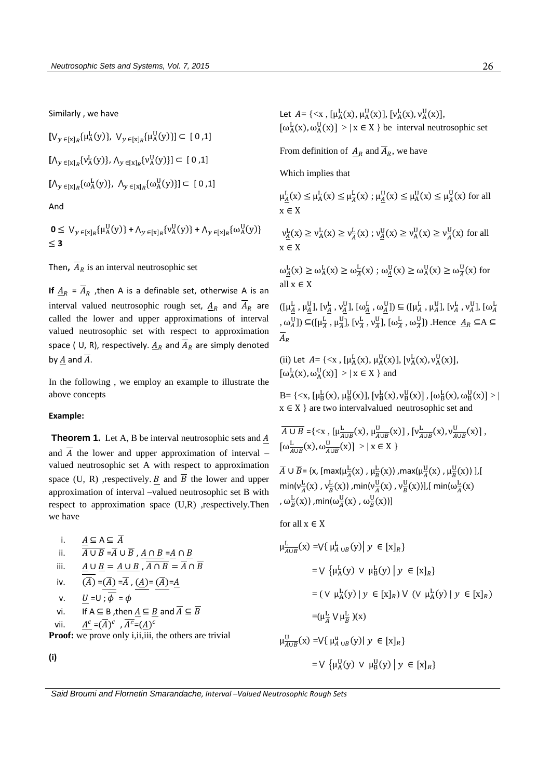Similarly , we have

$$
[V_{y \in [x]_R} \{\mu_A^L(y)\}, V_{y \in [x]_R} \{\mu_A^U(y)\}] \subset [0,1]
$$
  

$$
[{\Lambda_{y \in [x]_R}} \{\nu_A^L(y)\}, {\Lambda_{y \in [x]_R}} \{\nu_A^U(y)\}] \subset [0,1]
$$
  

$$
[{\Lambda_{y \in [x]_R}} \{\omega_A^L(y)\}, {\Lambda_{y \in [x]_R}} \{\omega_A^U(y)\}] \subset [0,1]
$$

And

$$
0 \leq V_{y \in [x]_R} {\{\mu_A^U(y)\} + \Lambda_{y \in [x]_R} {\{\nu_A^U(y)\} + \Lambda_{y \in [x]_R} {\{\omega_A^U(y)\}}}}
$$
  
\$\leq 3

Then,  $\overline{A}_R$  is an interval neutrosophic set

**If**  $\underline{A}_R = \overline{A}_R$ , then A is a definable set, otherwise A is an interval valued neutrosophic rough set,  $A_R$  and  $\overline{A}_R$  are called the lower and upper approximations of interval valued neutrosophic set with respect to approximation space ( U, R), respectively.  $A_R$  and  $\overline{A}_R$  are simply denoted by  $A$  and  $\overline{A}$ .

In the following , we employ an example to illustrate the above concepts

### **Example:**

**Theorem 1.** Let A, B be interval neutrosophic sets and A and  $\overline{A}$  the lower and upper approximation of interval – valued neutrosophic set A with respect to approximation space (U, R) ,respectively. B and  $\overline{B}$  the lower and upper approximation of interval –valued neutrosophic set B with respect to approximation space (U,R) ,respectively.Then we have

i. 
$$
\frac{A \subseteq A \subseteq A}{A \cup B = \overline{A} \cup \overline{B}}
$$
,  $\frac{A \cap B}{A \cap B} = \frac{A}{A} \cap \frac{B}{B}$   
\niii.  $\frac{A \cup B}{\overline{(A)}} = \frac{A \cup B}{\overline{(A)}} = \overline{A}$ ,  $\frac{A \cap B}{\overline{(A)}} = \overline{A} \cap \overline{B}$   
\niv.  $\frac{U}{\overline{(A)}} = \overline{(A)} = \overline{A}$ ,  $\frac{A}{\overline{(A)}} = \frac{\overline{(A)}}{\overline{(A)}} = \frac{A}{\overline{A}}$   
\nv. If  $A \subseteq B$ , then  $\underline{A} \subseteq \underline{B}$  and  $\overline{A} \subseteq \overline{B}$   
\nvii.  $\frac{A^c}{\overline{(A)}} = \overline{(A)^c}$ ,  $\overline{A^c} = \overline{(A)^c}$   
\n**Proof:** we prove only i, ii, iii, the others are trivial

**(i)**

Let  $A = \{ \langle x, [\mu_A^L(x), \mu_A^U(x)], [\nu_A^L(x), \nu_A^U(x)],$  $\left[\omega_{A}^{L}(x), \omega_{A}^{U}(x)\right] > | x \in X \}$  be interval neutrosophic set

From definition of  $A_R$  and  $\overline{A}_R$ , we have

Which implies that

 $\mu_{\underline{A}}^L(x) \le \mu_A^L(x) \le \mu_{\overline{A}}^L(x)$ ;  $\mu_{\underline{A}}^U(x) \le \mu_A^U(x) \le \mu_{\overline{A}}^U(x)$  for all x ∈ X

$$
\nu_{\underline{A}}^L(x)\geq \nu_A^L(x)\geq \nu_{\overline{A}}^L(x)\;;\; \nu_{\underline{A}}^U(x)\geq \nu_A^U(x)\geq \nu_{\overline{A}}^U(x) \;\text{for all}\; x\in X
$$

 $\omega_{\underline{A}}^{\underline{L}}(x) \ge \omega_{\underline{A}}^{\underline{L}}(x) \ge \omega_{\underline{A}}^{\underline{U}}(x)$ ;  $\omega_{\underline{A}}^{\underline{U}}(x) \ge \omega_{\underline{A}}^{\underline{U}}(x) \ge \omega_{\overline{A}}^{\underline{U}}(x)$  for all x ∈ X

 $([\mu_A^L, \mu_A^U], [\nu_A^L, \nu_A^U], [\omega_A^L, \omega_A^U]) \subseteq ([\mu_A^L, \mu_A^U], [\nu_A^L, \nu_A^U], [\omega_A^L]$ ,  $\omega_A^{\text{U}}$ ])  $\subseteq$   $(\mu_A^{\text{L}}, \mu_A^{\text{U}})$ ,  $[\nu_A^{\text{L}}]$  $\frac{L}{A}$ ,  $v\frac{U}{A}$  $\frac{U}{A}$ ],  $[\omega \frac{L}{A}, \omega \frac{U}{A}]$ ) .Hence  $\underline{A}_R \subseteq A \subseteq$  $\overline{A}_R$ 

(ii) Let  $A = \{ \langle x, [\mu_A^L(x), \mu_A^U(x)], [\nu_A^L(x), \nu_A^U(x)], \}$  $\left[\omega_A^L(x), \omega_A^U(x)\right] > | x \in X$  } and

B= { $\langle x, [\mu_B^L(x), \mu_B^U(x)], [\nu_B^L(x), \nu_B^U(x)] , [\omega_B^L(x), \omega_B^U(x)] \rangle$ |  $x \in X$  } are two intervalvalued neutrosophic set and

$$
\overline{A \cup B} = \{ \langle x, [\mu_{A \cup B}^L(x), \mu_{A \cup B}^U(x)], [\nu_{A \cup B}^L(x), \nu_{A \cup B}^U(x)], [\omega_{A \cup B}^L(x), \omega_{A \cup B}^U(x)] \rangle \}
$$

 $\overline{A} \cup \overline{B}$  = {x, [max( $\mu_{\overline{A}}^{\underline{L}}(x)$  ,  $\mu_{\overline{B}}^{\underline{L}}(x)$ ) ,max( $\mu_{\overline{A}}^{\underline{U}}(x)$  ,  $\mu_{\overline{B}}^{\underline{U}}(x)$ ) ],[ min( $v_A^L$  $\frac{\text{L}}{A}(\text{x})$  ,  $\text{v}_B^{\text{L}}(\text{x})$ ) ,min(v $\frac{\text{U}}{A}$  $\frac{U}{A}(x)$  ,  $v\frac{U}{B}(x)$ )],[ min( $\omega \frac{L}{A}(x)$ ,  $\omega_{\overline{B}}^{\text{L}}(x)$ ) ,min( $\omega_{\overline{A}}^{\text{U}}(x)$  ,  $\omega_{\overline{B}}^{\text{U}}(x)$ )]

for all  $x \in X$ 

$$
\mu_{A\cup B}^{L}(x) = \bigvee \{ \mu_{A\cup B}^{L}(y) \mid y \in [x]_{R} \}
$$
  
\n
$$
= \bigvee \{ \mu_{A}^{L}(y) \vee \mu_{B}^{L}(y) \mid y \in [x]_{R} \}
$$
  
\n
$$
= (\bigvee \mu_{A}^{L}(y) \mid y \in [x]_{R}) \vee (\bigvee \mu_{A}^{L}(y) \mid y \in [x]_{R})
$$
  
\n
$$
= (\mu_{A}^{L} \vee \mu_{B}^{L})(x)
$$
  
\n
$$
\mu_{A\cup B}^{U}(x) = \bigvee \{ \mu_{A\cup B}^{U}(y) \mid y \in [x]_{R} \}
$$
  
\n
$$
= \bigvee \{ \mu_{A}^{U}(y) \vee \mu_{B}^{U}(y) \mid y \in [x]_{R} \}
$$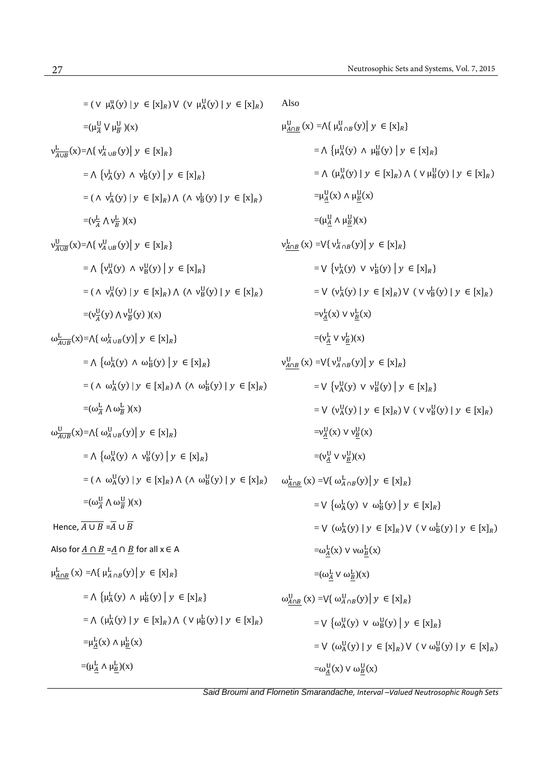$=( \vee \mu_A^{\mathrm{u}}(\mathrm{y}) \mid \mathrm{y} \in [\mathrm{x}]_R ) \vee (\vee \mu_A^{\mathrm{U}}(\mathrm{y}) \mid \mathrm{y} \in [\mathrm{x}]_R )$  $=(\mu \frac{U}{A} \vee \mu \frac{U}{B})(x)$  $v_{\overline{A\cup B}}^{\text{L}}$  $\frac{L}{A\cup B}(x) = \bigwedge \{v_{A\cup B}^L(y) \mid y \in [x]_R\}$  $= \bigwedge \{v_A^L(y) \land v_B^L(y) \mid y \in [x]_R\}$  $= (\wedge \nu_A^L(y) | y \in [x]_R) \wedge (\wedge \nu_B^L(y) | y \in [x]_R)$  $\equiv (v_A^L \wedge v_B^L)(x)$  $v^{\text{U}}_{A\cup B}$  $\frac{U}{A\cup B}(x) = \bigwedge \{v_{A\cup B}^U(y) \mid y \in [x]_R\}$  $= \Lambda \left\{ v_A^{\mathrm{U}}(y) \Lambda v_B^{\mathrm{U}}(y) \middle| y \in [x]_R \right\}$  $= (\wedge \vee^{\mathsf{U}}_{\mathsf{A}}(\mathsf{y}) \mid \mathsf{y} \in [\mathsf{x}]_R) \wedge (\wedge \vee^{\mathsf{U}}_{\mathsf{B}}(\mathsf{y}) \mid \mathsf{y} \in [\mathsf{x}]_R)$  $=$  $(\nu \frac{U}{A})$  $\frac{U}{A}(y)$   $\Lambda v^{\underline{U}}_{\overline{B}}(y)$   $)(x)$  $\omega_{A\cup B}^{\mathcal{L}}(x) = \Lambda \{ \omega_{A\cup B}^{\mathcal{L}}(y) \mid y \in [x]_R \}$  $= \Lambda \left\{ \omega_{A}^{L}(y) \Lambda \omega_{B}^{L}(y) \middle| y \in [x]_{R} \right\}$  $= (\wedge \omega_A^L(y) | y \in [x]_R) \wedge (\wedge \omega_B^L(y) | y \in [x]_R)$  $=(\omega \frac{L}{A} \wedge \omega \frac{L}{B})(x)$  $\omega_{A\cup B}^{U}(x) = \Lambda \{ \omega_{A\cup B}^{U}(y) \mid y \in [x]_{R} \}$  $= \Lambda \left\{ \omega_A^U(y) \wedge v_B^U(y) \mid y \in [x]_R \right\}$  $=( \wedge \omega_A^U(y) | y \in [x]_R) \wedge (\wedge \omega_B^U(y) | y \in [x]_R) \quad \omega_{A \cap B}^L(x) = \vee \{ \omega_{A \cap B}^L(y) | y \in [x]_R \}$  $=(\omega_A^{\mathrm{U}} \wedge \omega_B^{\mathrm{U}})(x)$ Hence,  $\overline{A \cup B} = \overline{A} \cup \overline{B}$ Also for  $\underline{A \cap B} = \underline{A} \cap \underline{B}$  for all  $x \in A$  $\mu_{A\cap B}^{L}(x) = \Lambda \{ \mu_{A\cap B}^{L}(y) \mid y \in [x]_{R} \}$  $= \Lambda \left\{ \mu_{A}^{L}(y) \Lambda \mu_{B}^{L}(y) \middle| y \in [x]_{R} \right\}$  $= \Lambda \left( \mu_{A}^{\mathcal{L}}(y) \mid y \in [x]_{R} \right) \Lambda \left( \vee \mu_{B}^{\mathcal{L}}(y) \mid y \in [x]_{R} \right)$  $=\mu_A^L(x) \wedge \mu_B^L(x)$  $\equiv (\mu_A^L \wedge \mu_B^L)(x)$ Also  $\mu_{A \cap B}^{U}(x) = \Lambda \{ \mu_{A \cap B}^{U}(y) \mid y \in [x]_{R} \}$  $= \Lambda \{ \mu_A^U(y) \land \mu_B^U(y) \mid y \in [x]_R \}$  $= \Lambda \left( \mu_A^U(y) \mid y \in [x]_R \right) \Lambda \left( \vee \mu_B^U(y) \mid y \in [x]_R \right)$  $=\mu_A^{\mathrm{U}}(\mathrm{x}) \wedge \mu_B^{\mathrm{U}}(\mathrm{x})$  $=(\mu_A^U \wedge \mu_B^U)(x)$  $v_{A\cap B}^{L}(x) = \bigvee \{v_{A\cap B}^{L}(y) \big| y \in [x]_{R}\}\$  $= \bigvee \{v_A^L(y) \vee v_B^L(y) \mid y \in [x]_R\}$  $= V (v_{A}^{L}(y) | y \in [x]_{R}) V (v v_{B}^{L}(y) | y \in [x]_{R})$  $=v_{\underline{A}}^{\mathrm{L}}(x) \vee v_{\underline{B}}^{\mathrm{L}}(x)$  $=(v_A^L \vee v_B^L)(x)$  $v_{A\cap B}^{U}(x) = \bigvee \{ v_{A\cap B}^{U}(y) \big| y \in [x]_{R} \}$  $= V \{v_A^U(y) \vee v_B^U(y) \mid y \in [x]_R\}$  $= V (v_A^U(y) | y \in [x]_R) V (v v_B^U(y) | y \in [x]_R)$  $=v_{\underline{A}}^{U}(x) \vee v_{\underline{B}}^{U}(x)$  $=(v_A^U \vee v_B^U)(x)$  $= V \left\{ \omega_{A}^{L}(y) \vee \omega_{B}^{L}(y) \middle| y \in [x]_{R} \right\}$  $= V (\omega_{A}^{L}(y) | y \in [x]_{R}) V (V \omega_{B}^{L}(y) | y \in [x]_{R})$  $=\omega_A^L(x)$   $\vee \omega_B^L(x)$  $=(\omega_A^L \vee \omega_B^L)(x)$  $\omega_{A\cap B}^{U}(x) = \bigvee \{ \omega_{A\cap B}^{U}(y) \big| y \in [x]_{R} \}$  $= \bigvee \{ \omega_A^U(y) \vee \omega_B^U(y) \mid y \in [x]_R \}$  $= V (\omega_A^U(y) | y \in [x]_R) V (V \omega_B^U(y) | y \in [x]_R)$  $=\omega_A^{\mathrm{U}}(\mathrm{x}) \vee \omega_B^{\mathrm{U}}(\mathrm{x})$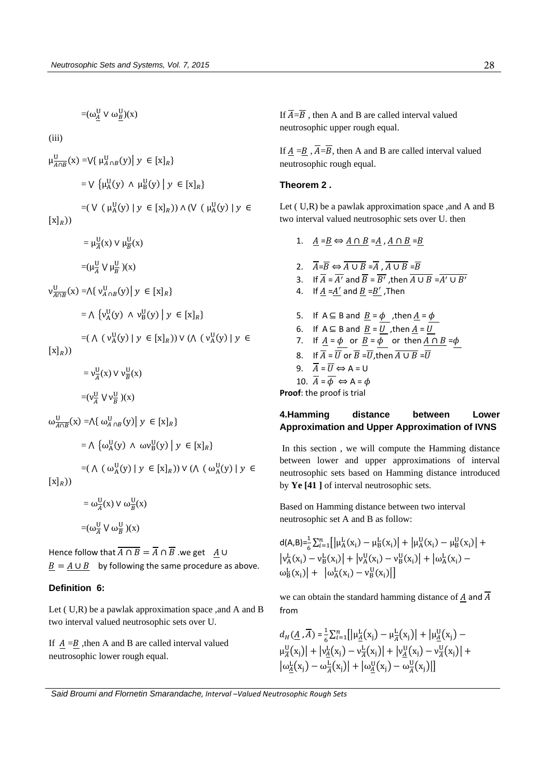$=(\omega_A^U \vee \omega_B^U)(x)$ 

(iii)

$$
\mu_{A \cap B}^{U}(x) = \bigvee \{ \mu_{A \cap B}^{U}(y) \mid y \in [x]_{R} \}
$$
\n
$$
= \bigvee \{ \mu_{A}^{U}(y) \land \mu_{B}^{U}(y) \mid y \in [x]_{R} \}
$$
\n
$$
= (\bigvee (\mu_{A}^{U}(y) \mid y \in [x]_{R})) \land (\bigvee (\mu_{A}^{U}(y) \mid y \in [x]_{R}))
$$

 $= \mu \frac{U}{A}(x) \vee \mu \frac{U}{B}(x)$ 

 $=(\mu \frac{U}{A} \vee \mu \frac{U}{B})(x)$ 

$$
\nu^{\mathrm{U}}_{\overline{A \cap B}}(\mathrm{x}) = \Lambda \{ \nu^{\mathrm{U}}_{A \cap B}(\mathrm{y}) \mid \mathrm{y} \in [\mathrm{x}]_R \}
$$

$$
= \bigwedge \{v_A^U(y) \land v_B^U(y) \mid y \in [x]_R\}
$$

$$
=(\,\Lambda\,\left(\,\nu^{\mathrm{U}}_{\mathrm{A}}(\mathrm{y})\;\middle|\; \mathrm{y}\;\in[\mathrm{x}]_R\right))\,\mathsf{V}\,(\Lambda\,\left(\,\nu^{\mathrm{U}}_{\mathrm{A}}(\mathrm{y})\;\middle|\; \mathrm{y}\;\in\right.
$$

 $[x]_R$ ))

 $= v_A^U$  $\frac{U}{A}(x) \vee \nu_{\overline{B}}^{U}(x)$ 

$$
=(v_A^{\mathrm{U}}\vee v_B^{\mathrm{U}})(x)
$$

$$
\omega_{\overline{A \cap B}}^{\mathsf{U}}(\mathsf{x}) = \bigwedge \{ \omega_{A \cap B}^{\mathsf{U}}(\mathsf{y}) \, \big| \, \mathsf{y} \in [\mathsf{x}]_R \}
$$

$$
= \bigwedge \{ \omega_A^U(y) \wedge \omega v_B^U(y) \mid y \in [x]_R \}
$$

$$
=(\,\textcolor{teal}{\wedge}\, \, (\,\textcolor{teal}{\omega_A^U(y)} \mid y\, \in [x]_R)) \vee (\textcolor{orange}{\wedge}\, \, (\,\textcolor{orange}{\omega_A^U(y)} \mid y\, \in [x]_R))
$$

$$
= \omega_{\overline{A}}^{U}(x) \vee \omega_{\overline{B}}^{U}(x)
$$

$$
= (\omega_{\overline{A}}^{U} \vee \omega_{\overline{B}}^{U})(x)
$$

Hence follow that  $\overline{A \cap B} = \overline{A} \cap \overline{B}$  we get A U  $B = A \cup B$  by following the same procedure as above.

## **Definition 6:**

Let ( U,R) be a pawlak approximation space ,and A and B two interval valued neutrosophic sets over U.

If  $A = B$ , then A and B are called interval valued neutrosophic lower rough equal.

If  $\overline{A} = \overline{B}$ , then A and B are called interval valued neutrosophic upper rough equal.

If  $A = B$ ,  $\overline{A} = \overline{B}$ , then A and B are called interval valued neutrosophic rough equal.

## **Theorem 2 .**

Let  $(U,R)$  be a pawlak approximation space , and A and B two interval valued neutrosophic sets over U. then

- 1.  $A = B \Leftrightarrow A \cap B = A$ ,  $A \cap B = B$
- 2.  $\overline{A} = \overline{B} \Leftrightarrow \overline{A \cup B} = \overline{A}, \overline{A \cup B} = \overline{B}$ 3. If  $\overline{A} = \overline{A'}$  and  $\overline{B} = \overline{B'}$ , then  $\overline{A \cup B} = \overline{A'} \cup \overline{B'}$ 4. If  $\underline{A} = \underline{A'}$  and  $\underline{B} = \underline{B'}$ , Then 5. If A ⊆ B and  $B = \phi$ , then  $A = \phi$ 6. If  $A \subseteq B$  and  $B = U$ , then  $A = U$ 7. If  $\underline{A} = \underline{\phi}$  or  $\underline{B} = \overline{\phi}$  or then  $\underline{A} \cap \underline{B} = \underline{\phi}$ 8. If  $\overline{A} = \overline{U}$  or  $\overline{B} = \overline{U}$ , then  $\overline{A \cup B} = \overline{U}$ 9.  $\overline{A} = \overline{U} \Leftrightarrow A = U$
- 10.  $\overline{A} = \overline{\phi} \Leftrightarrow A = \phi$

**Proof**: the proof is trial

## **4.Hamming distance between Lower Approximation and Upper Approximation of IVNS**

 In this section , we will compute the Hamming distance between lower and upper approximations of interval neutrosophic sets based on Hamming distance introduced by **Ye [41 ]** of interval neutrosophic sets.

Based on Hamming distance between two interval neutrosophic set A and B as follow:

$$
\begin{aligned} d(A,B)=&\frac{1}{6}\sum_{i=1}^n\big[ \big|\mu^L_A(x_i)-\mu^L_B(x_i)\big| + \big|\mu^U_A(x_i)-\mu^U_B(x_i)\big| + \\ &\big|\nu^L_A(x_i)-\nu^L_B(x_i)\big| + \big|\nu^U_A(x_i)-\nu^U_B(x_i)\big| + \big|\omega^L_A(x_i)- \\ &\omega^L_B(x_i)\big| + \big|\omega^L_A(x_i)-\nu^U_B(x_i)\big|\big] \end{aligned}
$$

we can obtain the standard hamming distance of  $\overline{A}$  and  $\overline{A}$ from

$$
d_H(\underline{A}, \overline{A}) = \frac{1}{6} \sum_{i=1}^n \left[ \left| \mu_{\underline{A}}^L(x_j) - \mu_{\overline{A}}^L(x_j) \right| + \left| \mu_{\underline{A}}^U(x_j) - \mu_{\overline{A}}^U(x_j) \right| + \left| \nu_{\underline{A}}^U(x_j) \right| + \left| \nu_{\underline{A}}^U(x_j) - \nu_{\overline{A}}^U(x_j) \right| + \left| \omega_{\underline{A}}^U(x_j) - \omega_{\overline{A}}^U(x_j) \right| + \left| \omega_{\underline{A}}^U(x_j) - \omega_{\overline{A}}^U(x_j) \right| \right]
$$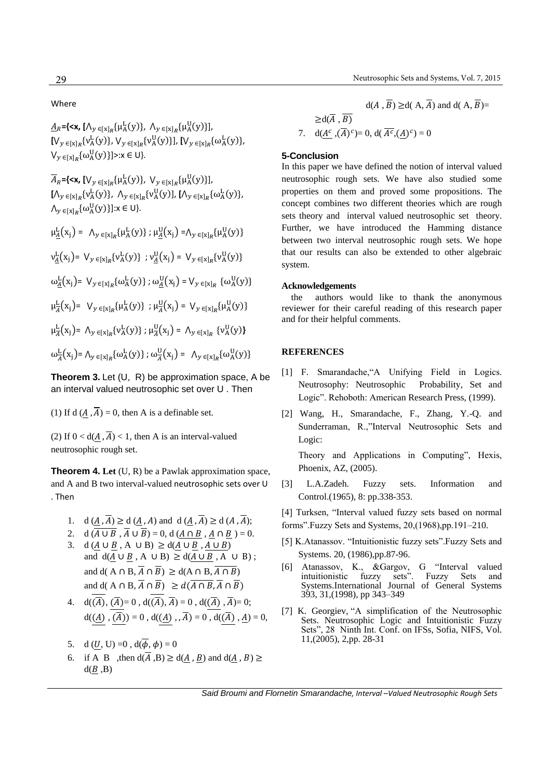### Where

 $\underline{A}_R$  ={<**x**,  $[\Lambda_y \in [x]_R \{\mu^L_A(y)\}, \Lambda_y \in [x]_R \{\mu^U_A(y)\}],$  $[V_y \in [x]_R \{v_A^L(y)\}, V_y \in [x]_R \{v_A^U(y)\}], [V_y \in [x]_R \{\omega_A^L(y)\},$  $V_{y \in [x]_R} \{\omega_A^U(y)\} \ge x \in U$ .

 $\overline{A}_R$  = {<**x**,  $[V_y \in [x]_R \{\mu^L_A(y)\}, V_y \in [x]_R \{\mu^U_A(y)\}],$  $[\Lambda_y \, \in_{[x]_R} \{v^{\mathrm{L}}_\mathrm{A}(y)\}, \ \Lambda_y \, \in_{[x]_R} \{v^{\mathrm{U}}_\mathrm{A}(y)\}, \ [\Lambda_y \, \in_{[x]_R} \{\omega^{\mathrm{L}}_\mathrm{A}(y)\},$  $\bigwedge_{y \in [x]_R} {\{\omega_A^U(y)\}}: x \in U$ 

 $\mu_{\underline{A}}^{\underline{L}}(x_j) = \Lambda_{y \in [x]_R} {\mu_A^{\underline{L}}(y)}; \mu_{\underline{A}}^{\underline{U}}(x_j) = \Lambda_{y \in [x]_R} {\mu_A^{\underline{U}}(y)}$ 

 $v_{\underline{A}}^{\underline{L}}(x_j) = V_y \in [x]_R \{v_A^{\underline{L}}(y)\}$ ;  $v_{\underline{A}}^{\underline{U}}(x_j) = V_y \in [x]_R \{v_A^{\underline{U}}(y)\}$ 

 $\omega_{\underline{A}}^{\underline{L}}(x_j)$ =  $V_{y \in [x]_R} {\omega_A^{\underline{L}}(y)}$ ;  $\omega_{\underline{A}}^{\underline{U}}(x_j)$  =  $V_{y \in [x]_R}$  { $\omega_A^{\underline{U}}(y)$ }

 $\mu_{\overline{A}}^{\underline{L}}(x_j) = V_y \in [x]_R {\mu_A^{\underline{L}}(y)}$ ;  $\mu_{\overline{A}}^{\underline{U}}(x_j) = V_y \in [x]_R {\mu_A^{\underline{U}}(y)}$ 

 $\mu_{\overline{A}}^{\underline{L}}(x_j) = \Lambda_{y \in [x]_R} \{v_A^{\underline{L}}(y)\}; \mu_{\overline{A}}^{\underline{U}}(x_j) = \Lambda_{y \in [x]_R} \{v_A^{\underline{U}}(y)\}$ 

 $\omega_{\overline{A}}^{\mathbf{L}}(\mathbf{x}_j) = \bigwedge_{\mathbf{y} \in [\mathbf{x}]_R} {\{\omega_{\mathbf{A}}^{\mathbf{L}}(\mathbf{y})\}}$ ;  $\omega_{\overline{A}}^{\mathbf{U}}(\mathbf{x}_j) = \bigwedge_{\mathbf{y} \in [\mathbf{x}]_R} {\{\omega_{\mathbf{A}}^{\mathbf{U}}(\mathbf{y})\}}$ 

**Theorem 3.** Let (U, R) be approximation space, A be an interval valued neutrosophic set over U . Then

(1) If d  $(A, \overline{A}) = 0$ , then A is a definable set.

(2) If  $0 < d(A, \overline{A}) < 1$ , then A is an interval-valued neutrosophic rough set.

**Theorem 4. Let** (U, R) be a Pawlak approximation space, and A and B two interval-valued neutrosophic sets over U . Then

- 1. d  $(\underline{A}, \overline{A}) \ge d$   $(\underline{A}, A)$  and d  $(\underline{A}, \overline{A}) \ge d$   $(A, \overline{A})$ ;
- 2. d  $(\overline{A \cup B}, \overline{A} \cup \overline{B}) = 0$ , d  $(A \cap B, A \cap B) = 0$ .
- 3. d  $(A \cup B, A \cup B) \ge d(A \cup B, A \cup B)$ and  $d(A \cup B, A \cup B) \ge d(A \cup B, A \cup B)$ ; and d( A  $\cap$  B,  $\overline{A}$   $\cap$   $\overline{B}$ )  $\geq$  d(A  $\cap$  B,  $\overline{A \cap B}$ ) and d( A  $\cap$  B,  $\overline{A}$   $\cap$   $\overline{B}$ )  $\geq d(\overline{A \cap B}, \overline{A} \cap \overline{B})$
- 4.  $d((\overline{A}), (\overline{A}) = 0, d((\overline{A}), \overline{A}) = 0, d((\overline{A}), \overline{A}) = 0;$  $d(\overline{(A)}, \overline{(A)}) = 0$ ,  $d(\overline{(A)}, \overline{A}) = 0$ ,  $d(\overline{(A)}, \underline{A}) = 0$ ,
- 5. d  $(U, U) = 0$ ,  $d(\overline{\phi}, \phi) = 0$
- 6. if A B ,then  $d(\overline{A}, B) \ge d(A, B)$  and  $d(A, B) \ge$  $d(B, B)$

$$
d(A, \overline{B}) \ge d(A, \overline{A}) \text{ and } d(A, \overline{B}) =
$$
  
\n
$$
\ge d(\overline{A}, \overline{B})
$$
  
\n7. 
$$
d(\underline{A^c}, \overline{(A)^c}) = 0, d(\overline{A^c}, (\underline{A})^c) = 0
$$

### **5-Conclusion**

In this paper we have defined the notion of interval valued neutrosophic rough sets. We have also studied some properties on them and proved some propositions. The concept combines two different theories which are rough sets theory and interval valued neutrosophic set theory. Further, we have introduced the Hamming distance between two interval neutrosophic rough sets. We hope that our results can also be extended to other algebraic system.

#### **Acknowledgements**

 reviewer for their careful reading of this research paper the authors would like to thank the anonymous and for their helpful comments.

## **REFERENCES**

- [1] F. Smarandache,"A Unifying Field in Logics. Neutrosophy: Neutrosophic Probability, Set and Logic". Rehoboth: American Research Press, (1999).
- [2] Wang, H., Smarandache, F., Zhang, Y.-Q. and Sunderraman, R.,"Interval Neutrosophic Sets and Logic:

Theory and Applications in Computing", Hexis, Phoenix, AZ, (2005).

- [3] L.A.Zadeh. Fuzzy sets. Information and Control.(1965), 8: pp.338-353.
- [4] Turksen, "Interval valued fuzzy sets based on normal
- forms".Fuzzy Sets and Systems, 20,(1968),pp.191–210.
- [5] K.Atanassov. "Intuitionistic fuzzy sets".Fuzzy Sets and Systems. 20, (1986),pp.87-96.
- [6] Atanassov, K., &Gargov, G "Interval valued intuitionistic fuzzy sets". Fuzzy Sets and Systems.International Journal of General Systems 393, 31,(1998), pp 343–349
- [7] K. Georgiev, "A simplification of the Neutrosophic Sets. Neutrosophic Logic and Intuitionistic Fuzzy Sets", 28 Ninth Int. Conf. on IFSs, Sofia, NIFS, Vol. 11,(2005), 2,pp. 28-31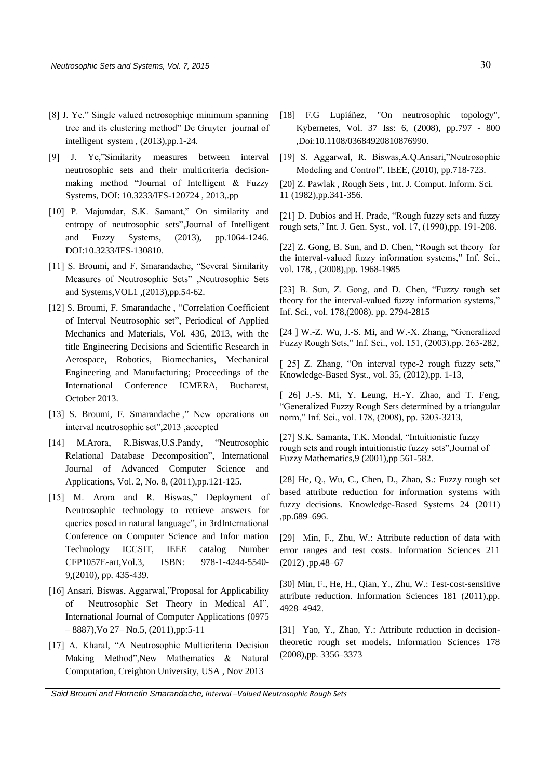- [8] J. Ye." Single valued netrosophiqc minimum spanning tree and its clustering method" De Gruyter journal of intelligent system , (2013),pp.1-24.
- [9] J. Ye,"Similarity measures between interval neutrosophic sets and their multicriteria decisionmaking method "Journal of Intelligent & Fuzzy Systems, DOI: 10.3233/IFS-120724 , 2013,.pp
- [10] P. Majumdar, S.K. Samant," On similarity and [entropy of neutrosophic sets"](http://iospress.metapress.com/content/8342372573j42764/),Journal of Intelligent and Fuzzy Systems, (2013), pp.1064-1246. DOI:10.3233/IFS-130810.
- [11] S. Broumi, and F. Smarandache, "Several Similarity Measures of Neutrosophic Sets" ,Neutrosophic Sets and Systems,VOL1 ,(2013),pp.54-62.
- [12] S. Broumi, F. Smarandache , "Correlation Coefficient of Interval Neutrosophic set", Periodical of Applied Mechanics and Materials, Vol. 436, 2013, with the title Engineering Decisions and Scientific Research in Aerospace, Robotics, Biomechanics, Mechanical Engineering and Manufacturing; Proceedings of the International Conference ICMERA, Bucharest, October 2013.
- [13] S. Broumi, F. Smarandache ," New operations on interval neutrosophic set",2013 ,accepted
- [14] M.Arora, R.Biswas,U.S.Pandy, "Neutrosophic Relational Database Decomposition", International Journal of Advanced Computer Science and Applications, Vol. 2, No. 8, (2011),pp.121-125.
- [15] M. Arora and R. Biswas," Deployment of Neutrosophic technology to retrieve answers for queries posed in natural language", in 3rdInternational Conference on Computer Science and Infor mation Technology ICCSIT, IEEE catalog Number CFP1057E-art,Vol.3, ISBN: 978-1-4244-5540- 9,(2010), pp. 435-439.
- [16] Ansari, Biswas, Aggarwal,"Proposal for Applicability of Neutrosophic Set Theory in Medical AI", International Journal of Computer Applications (0975 – 8887),Vo 27– No.5, (2011),pp:5-11
- [17] A. Kharal, "A Neutrosophic Multicriteria Decision Making Method",New Mathematics & Natural Computation, Creighton University, USA , Nov 2013
- [18] F.G Lupiáñez, "On neutrosophic topology", Kybernetes, Vol. 37 Iss: 6, (2008), pp.797 - 800 ,Doi:10.1108/03684920810876990.
- [19] S. Aggarwal, R. Biswas,A.Q.Ansari,"Neutrosophic Modeling and Control", IEEE, (2010), pp.718-723.
- [20] Z. Pawlak , Rough Sets , Int. J. Comput. Inform. Sci. 11 (1982),pp.341-356.

[21] D. Dubios and H. Prade, "Rough fuzzy sets and fuzzy rough sets," Int. J. Gen. Syst., vol. 17, (1990),pp. 191-208.

[22] Z. Gong, B. Sun, and D. Chen, "Rough set theory for the interval-valued fuzzy information systems," Inf. Sci., vol. 178, , (2008),pp. 1968-1985

[23] B. Sun, Z. Gong, and D. Chen, "Fuzzy rough set theory for the interval-valued fuzzy information systems," Inf. Sci., vol. 178,(2008). pp. 2794-2815

[24 ] W.-Z. Wu, J.-S. Mi, and W.-X. Zhang, "Generalized Fuzzy Rough Sets," Inf. Sci., vol. 151, (2003),pp. 263-282,

[ 25] Z. Zhang, "On interval type-2 rough fuzzy sets," Knowledge-Based Syst., vol. 35, (2012),pp. 1-13,

[ 26] J.-S. Mi, Y. Leung, H.-Y. Zhao, and T. Feng, "Generalized Fuzzy Rough Sets determined by a triangular norm," Inf. Sci., vol. 178, (2008), pp. 3203-3213,

[27] S.K. Samanta, T.K. Mondal, "Intuitionistic fuzzy rough sets and rough intuitionistic fuzzy sets",Journal of Fuzzy Mathematics,9 (2001),pp 561-582.

[28] He, Q., Wu, C., Chen, D., Zhao, S.: Fuzzy rough set based attribute reduction for information systems with fuzzy decisions. Knowledge-Based Systems 24 (2011) ,pp.689–696.

[29] Min, F., Zhu, W.: Attribute reduction of data with error ranges and test costs. Information Sciences 211 (2012) ,pp.48–67

[30] Min, F., He, H., Qian, Y., Zhu, W.: Test-cost-sensitive attribute reduction. Information Sciences 181 (2011),pp. 4928–4942.

[31] Yao, Y., Zhao, Y.: Attribute reduction in decisiontheoretic rough set models. Information Sciences 178 (2008),pp. 3356–3373